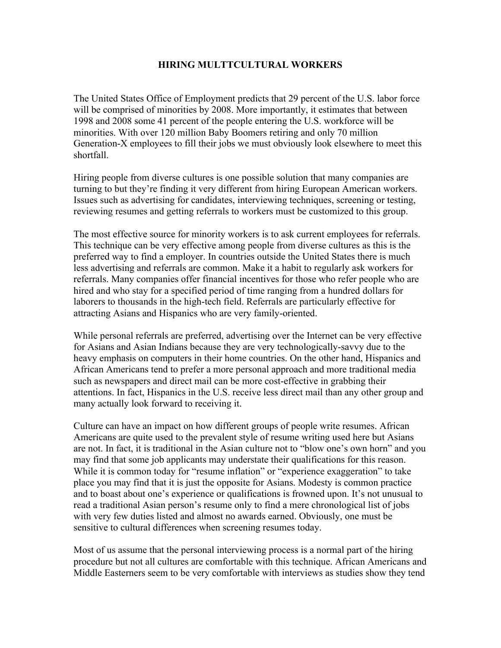## HIRING MULTTCULTURAL WORKERS

The United States Office of Employment predicts that 29 percent of the U.S. labor force will be comprised of minorities by 2008. More importantly, it estimates that between 1998 and 2008 some 41 percent of the people entering the U.S. workforce will be minorities. With over 120 million Baby Boomers retiring and only 70 million Generation-X employees to fill their jobs we must obviously look elsewhere to meet this shortfall.

Hiring people from diverse cultures is one possible solution that many companies are turning to but they're finding it very different from hiring European American workers. Issues such as advertising for candidates, interviewing techniques, screening or testing, reviewing resumes and getting referrals to workers must be customized to this group.

The most effective source for minority workers is to ask current employees for referrals. This technique can be very effective among people from diverse cultures as this is the preferred way to find a employer. In countries outside the United States there is much less advertising and referrals are common. Make it a habit to regularly ask workers for referrals. Many companies offer financial incentives for those who refer people who are hired and who stay for a specified period of time ranging from a hundred dollars for laborers to thousands in the high-tech field. Referrals are particularly effective for attracting Asians and Hispanics who are very family-oriented.

While personal referrals are preferred, advertising over the Internet can be very effective for Asians and Asian Indians because they are very technologically-savvy due to the heavy emphasis on computers in their home countries. On the other hand, Hispanics and African Americans tend to prefer a more personal approach and more traditional media such as newspapers and direct mail can be more cost-effective in grabbing their attentions. In fact, Hispanics in the U.S. receive less direct mail than any other group and many actually look forward to receiving it.

Culture can have an impact on how different groups of people write resumes. African Americans are quite used to the prevalent style of resume writing used here but Asians are not. In fact, it is traditional in the Asian culture not to "blow one's own horn" and you may find that some job applicants may understate their qualifications for this reason. While it is common today for "resume inflation" or "experience exaggeration" to take place you may find that it is just the opposite for Asians. Modesty is common practice and to boast about one's experience or qualifications is frowned upon. It's not unusual to read a traditional Asian person's resume only to find a mere chronological list of jobs with very few duties listed and almost no awards earned. Obviously, one must be sensitive to cultural differences when screening resumes today.

Most of us assume that the personal interviewing process is a normal part of the hiring procedure but not all cultures are comfortable with this technique. African Americans and Middle Easterners seem to be very comfortable with interviews as studies show they tend